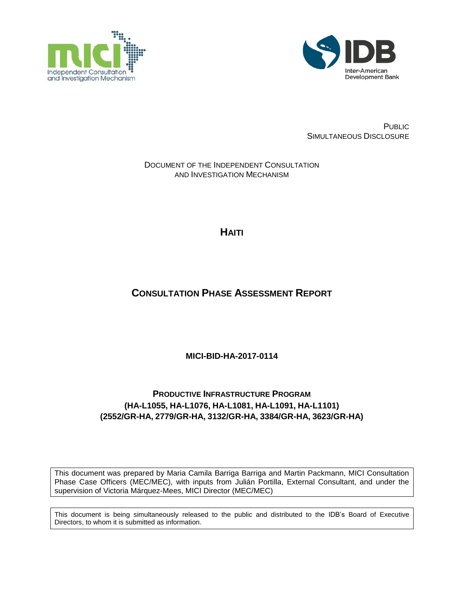



PUBLIC SIMULTANEOUS DISCLOSURE

### DOCUMENT OF THE INDEPENDENT CONSULTATION AND INVESTIGATION MECHANISM

**HAITI**

# **CONSULTATION PHASE ASSESSMENT REPORT**

**MICI-BID-HA-2017-0114**

# **PRODUCTIVE INFRASTRUCTURE PROGRAM (HA-L1055, HA-L1076, HA-L1081, HA-L1091, HA-L1101) (2552/GR-HA, 2779/GR-HA, 3132/GR-HA, 3384/GR-HA, 3623/GR-HA)**

This document was prepared by Maria Camila Barriga Barriga and Martin Packmann, MICI Consultation Phase Case Officers (MEC/MEC), with inputs from Julián Portilla, External Consultant, and under the supervision of Victoria Márquez-Mees, MICI Director (MEC/MEC)

This document is being simultaneously released to the public and distributed to the IDB's Board of Executive Directors, to whom it is submitted as information.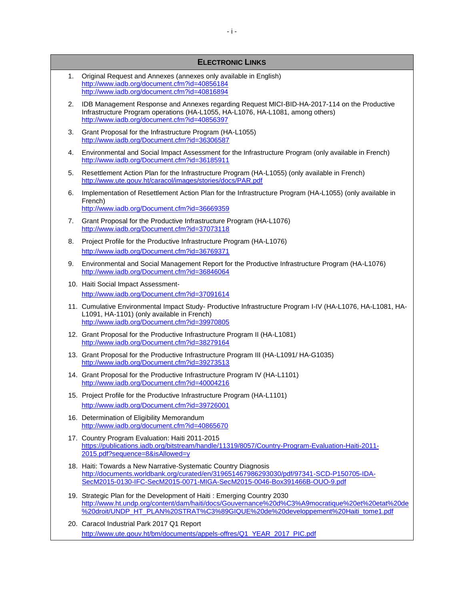#### **ELECTRONIC LINKS**

- 1. Original Request and Annexes (annexes only available in English) <http://www.iadb.org/document.cfm?id=40856184> <http://www.iadb.org/document.cfm?id=40816894>
- 2. IDB Management Response and Annexes regarding Request MICI-BID-HA-2017-114 on the Productive Infrastructure Program operations (HA-L1055, HA-L1076, HA-L1081, among others) <http://www.iadb.org/document.cfm?id=40856397>
- 3. Grant Proposal for the Infrastructure Program (HA-L1055) <http://www.iadb.org/Document.cfm?id=36306587>
- 4. Environmental and Social Impact Assessment for the Infrastructure Program (only available in French) <http://www.iadb.org/Document.cfm?id=36185911>
- 5. Resettlement Action Plan for the Infrastructure Program (HA-L1055) (only available in French) <http://www.ute.gouv.ht/caracol/images/stories/docs/PAR.pdf>
- 6. Implementation of Resettlement Action Plan for the Infrastructure Program (HA-L1055) (only available in French) <http://www.iadb.org/Document.cfm?id=36669359>
- 7. Grant Proposal for the Productive Infrastructure Program (HA-L1076) <http://www.iadb.org/Document.cfm?id=37073118>
- 8. Project Profile for the Productive Infrastructure Program (HA-L1076) <http://www.iadb.org/Document.cfm?id=36769371>
- 9. Environmental and Social Management Report for the Productive Infrastructure Program (HA-L1076) <http://www.iadb.org/Document.cfm?id=36846064>
- 10. Haiti Social Impact Assessment<http://www.iadb.org/Document.cfm?id=37091614>
- 11. Cumulative Environmental Impact Study- Productive Infrastructure Program I-IV (HA-L1076, HA-L1081, HA-L1091, HA-1101) (only available in French) <http://www.iadb.org/Document.cfm?id=39970805>
- 12. Grant Proposal for the Productive Infrastructure Program II (HA-L1081) <http://www.iadb.org/Document.cfm?id=38279164>
- 13. Grant Proposal for the Productive Infrastructure Program III (HA-L1091/ HA-G1035) <http://www.iadb.org/Document.cfm?id=39273513>
- 14. Grant Proposal for the Productive Infrastructure Program IV (HA-L1101) <http://www.iadb.org/Document.cfm?id=40004216>
- 15. Project Profile for the Productive Infrastructure Program (HA-L1101) <http://www.iadb.org/Document.cfm?id=39726001>
- 16. Determination of Eligibility Memorandum <http://www.iadb.org/document.cfm?id=40865670>
- 17. Country Program Evaluation: Haiti 2011-2015 [https://publications.iadb.org/bitstream/handle/11319/8057/Country-Program-Evaluation-Haiti-2011-](https://publications.iadb.org/bitstream/handle/11319/8057/Country-Program-Evaluation-Haiti-2011-2015.pdf?sequence=8&isAllowed=y) [2015.pdf?sequence=8&isAllowed=y](https://publications.iadb.org/bitstream/handle/11319/8057/Country-Program-Evaluation-Haiti-2011-2015.pdf?sequence=8&isAllowed=y)
- 18. Haiti: Towards a New Narrative-Systematic Country Diagnosis [http://documents.worldbank.org/curated/en/319651467986293030/pdf/97341-SCD-P150705-IDA-](http://documents.worldbank.org/curated/en/319651467986293030/pdf/97341-SCD-P150705-IDA-SecM2015-0130-IFC-SecM2015-0071-MIGA-SecM2015-0046-Box391466B-OUO-9.pdf)[SecM2015-0130-IFC-SecM2015-0071-MIGA-SecM2015-0046-Box391466B-OUO-9.pdf](http://documents.worldbank.org/curated/en/319651467986293030/pdf/97341-SCD-P150705-IDA-SecM2015-0130-IFC-SecM2015-0071-MIGA-SecM2015-0046-Box391466B-OUO-9.pdf)
- 19. Strategic Plan for the Development of Haiti : Emerging Country 2030 [http://www.ht.undp.org/content/dam/haiti/docs/Gouvernance%20d%C3%A9mocratique%20et%20etat%20de](http://www.ht.undp.org/content/dam/haiti/docs/Gouvernance%20d%C3%A9mocratique%20et%20etat%20de%20droit/UNDP_HT_PLAN%20STRAT%C3%89GIQUE%20de%20developpement%20Haiti_tome1.pdf) [%20droit/UNDP\\_HT\\_PLAN%20STRAT%C3%89GIQUE%20de%20developpement%20Haiti\\_tome1.pdf](http://www.ht.undp.org/content/dam/haiti/docs/Gouvernance%20d%C3%A9mocratique%20et%20etat%20de%20droit/UNDP_HT_PLAN%20STRAT%C3%89GIQUE%20de%20developpement%20Haiti_tome1.pdf)
- 20. Caracol Industrial Park 2017 Q1 Report [http://www.ute.gouv.ht/bm/documents/appels-offres/Q1\\_YEAR\\_2017\\_PIC.pdf](http://www.ute.gouv.ht/bm/documents/appels-offres/Q1_YEAR_2017_PIC.pdf)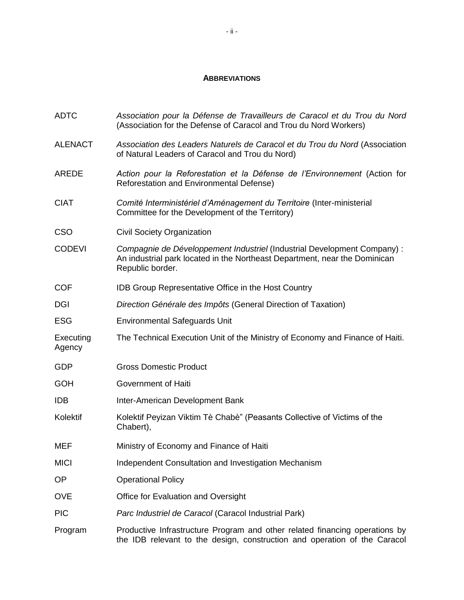#### **ABBREVIATIONS**

| <b>ADTC</b>         | Association pour la Défense de Travailleurs de Caracol et du Trou du Nord<br>(Association for the Defense of Caracol and Trou du Nord Workers)                             |  |
|---------------------|----------------------------------------------------------------------------------------------------------------------------------------------------------------------------|--|
| <b>ALENACT</b>      | Association des Leaders Naturels de Caracol et du Trou du Nord (Association<br>of Natural Leaders of Caracol and Trou du Nord)                                             |  |
| <b>AREDE</b>        | Action pour la Reforestation et la Défense de l'Environnement (Action for<br>Reforestation and Environmental Defense)                                                      |  |
| <b>CIAT</b>         | Comité Interministériel d'Aménagement du Territoire (Inter-ministerial<br>Committee for the Development of the Territory)                                                  |  |
| <b>CSO</b>          | <b>Civil Society Organization</b>                                                                                                                                          |  |
| <b>CODEVI</b>       | Compagnie de Développement Industriel (Industrial Development Company) :<br>An industrial park located in the Northeast Department, near the Dominican<br>Republic border. |  |
| <b>COF</b>          | <b>IDB Group Representative Office in the Host Country</b>                                                                                                                 |  |
| <b>DGI</b>          | Direction Générale des Impôts (General Direction of Taxation)                                                                                                              |  |
| <b>ESG</b>          | <b>Environmental Safeguards Unit</b>                                                                                                                                       |  |
| Executing<br>Agency | The Technical Execution Unit of the Ministry of Economy and Finance of Haiti.                                                                                              |  |
| <b>GDP</b>          | <b>Gross Domestic Product</b>                                                                                                                                              |  |
| <b>GOH</b>          | Government of Haiti                                                                                                                                                        |  |
| <b>IDB</b>          | Inter-American Development Bank                                                                                                                                            |  |
| Kolektif            | Kolektif Peyizan Viktim Tè Chabè" (Peasants Collective of Victims of the<br>Chabert),                                                                                      |  |
| <b>MEF</b>          | Ministry of Economy and Finance of Haiti                                                                                                                                   |  |
| <b>MICI</b>         | Independent Consultation and Investigation Mechanism                                                                                                                       |  |
| OP                  | <b>Operational Policy</b>                                                                                                                                                  |  |
| <b>OVE</b>          | Office for Evaluation and Oversight                                                                                                                                        |  |
| <b>PIC</b>          | Parc Industriel de Caracol (Caracol Industrial Park)                                                                                                                       |  |
| Program             | Productive Infrastructure Program and other related financing operations by<br>the IDB relevant to the design, construction and operation of the Caracol                   |  |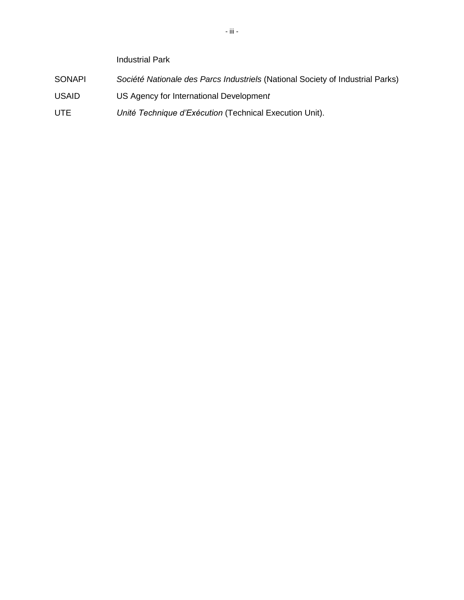Industrial Park

- SONAPI *Société Nationale des Parcs Industriels* (National Society of Industrial Parks)
- USAID US Agency for International Developmen*t*
- UTE *Unité Technique d'Exécution* (Technical Execution Unit).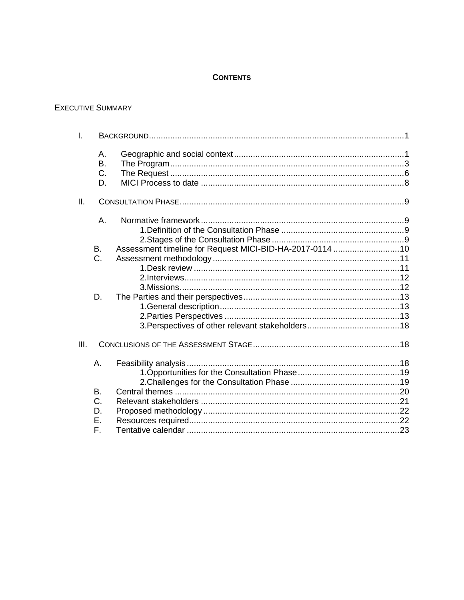### **CONTENTS**

#### **EXECUTIVE SUMMARY**

| $\mathsf{L}$ |                             |                                                          |  |
|--------------|-----------------------------|----------------------------------------------------------|--|
|              | Α.<br><b>B.</b><br>C.<br>D. |                                                          |  |
| II.          |                             |                                                          |  |
|              | Α.                          |                                                          |  |
|              | B.<br>C.                    | Assessment timeline for Request MICI-BID-HA-2017-0114 10 |  |
|              | D.                          |                                                          |  |
| III.         |                             |                                                          |  |
|              | Α.                          |                                                          |  |
|              | <b>B.</b><br>C.<br>D.       |                                                          |  |
|              | Ε.<br>F.                    |                                                          |  |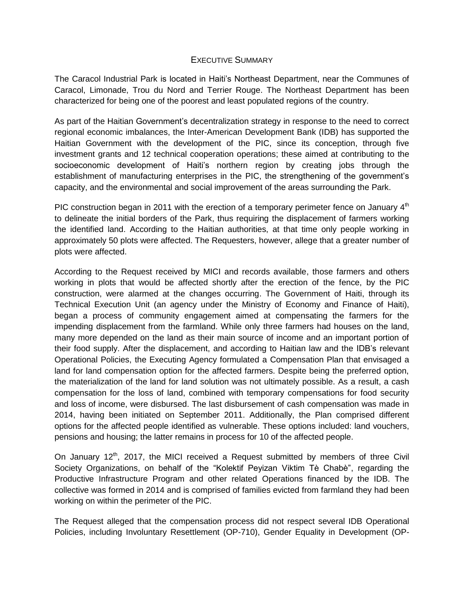#### EXECUTIVE SUMMARY

The Caracol Industrial Park is located in Haiti's Northeast Department, near the Communes of Caracol, Limonade, Trou du Nord and Terrier Rouge. The Northeast Department has been characterized for being one of the poorest and least populated regions of the country.

As part of the Haitian Government's decentralization strategy in response to the need to correct regional economic imbalances, the Inter-American Development Bank (IDB) has supported the Haitian Government with the development of the PIC, since its conception, through five investment grants and 12 technical cooperation operations; these aimed at contributing to the socioeconomic development of Haiti's northern region by creating jobs through the establishment of manufacturing enterprises in the PIC, the strengthening of the government's capacity, and the environmental and social improvement of the areas surrounding the Park.

PIC construction began in 2011 with the erection of a temporary perimeter fence on January  $4<sup>th</sup>$ to delineate the initial borders of the Park, thus requiring the displacement of farmers working the identified land. According to the Haitian authorities, at that time only people working in approximately 50 plots were affected. The Requesters, however, allege that a greater number of plots were affected.

According to the Request received by MICI and records available, those farmers and others working in plots that would be affected shortly after the erection of the fence, by the PIC construction, were alarmed at the changes occurring. The Government of Haiti, through its Technical Execution Unit (an agency under the Ministry of Economy and Finance of Haiti), began a process of community engagement aimed at compensating the farmers for the impending displacement from the farmland. While only three farmers had houses on the land, many more depended on the land as their main source of income and an important portion of their food supply. After the displacement, and according to Haitian law and the IDB's relevant Operational Policies, the Executing Agency formulated a Compensation Plan that envisaged a land for land compensation option for the affected farmers. Despite being the preferred option, the materialization of the land for land solution was not ultimately possible. As a result, a cash compensation for the loss of land, combined with temporary compensations for food security and loss of income, were disbursed. The last disbursement of cash compensation was made in 2014, having been initiated on September 2011. Additionally, the Plan comprised different options for the affected people identified as vulnerable. These options included: land vouchers, pensions and housing; the latter remains in process for 10 of the affected people.

On January  $12<sup>th</sup>$ , 2017, the MICI received a Request submitted by members of three Civil Society Organizations, on behalf of the "Kolektif Peyizan Viktim Tè Chabè", regarding the Productive Infrastructure Program and other related Operations financed by the IDB. The collective was formed in 2014 and is comprised of families evicted from farmland they had been working on within the perimeter of the PIC.

The Request alleged that the compensation process did not respect several IDB Operational Policies, including Involuntary Resettlement (OP-710), Gender Equality in Development (OP-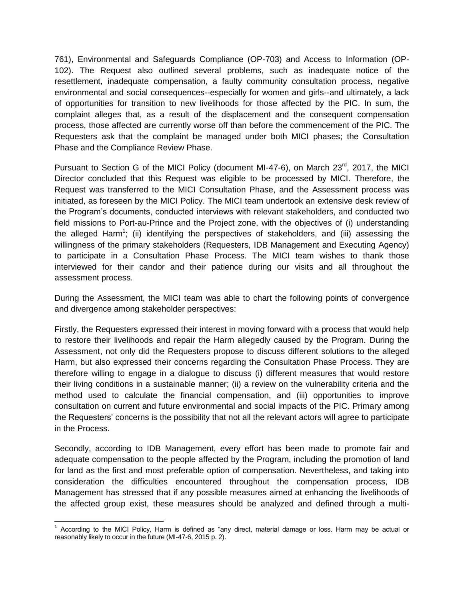761), Environmental and Safeguards Compliance (OP-703) and Access to Information (OP-102). The Request also outlined several problems, such as inadequate notice of the resettlement, inadequate compensation, a faulty community consultation process, negative environmental and social consequences--especially for women and girls--and ultimately, a lack of opportunities for transition to new livelihoods for those affected by the PIC. In sum, the complaint alleges that, as a result of the displacement and the consequent compensation process, those affected are currently worse off than before the commencement of the PIC. The Requesters ask that the complaint be managed under both MICI phases; the Consultation Phase and the Compliance Review Phase.

Pursuant to Section G of the MICI Policy (document MI-47-6), on March 23<sup>rd</sup>, 2017, the MICI Director concluded that this Request was eligible to be processed by MICI. Therefore, the Request was transferred to the MICI Consultation Phase, and the Assessment process was initiated, as foreseen by the MICI Policy. The MICI team undertook an extensive desk review of the Program's documents, conducted interviews with relevant stakeholders, and conducted two field missions to Port-au-Prince and the Project zone, with the objectives of (i) understanding the alleged Harm<sup>1</sup>; (ii) identifying the perspectives of stakeholders, and (iii) assessing the willingness of the primary stakeholders (Requesters, IDB Management and Executing Agency) to participate in a Consultation Phase Process. The MICI team wishes to thank those interviewed for their candor and their patience during our visits and all throughout the assessment process.

During the Assessment, the MICI team was able to chart the following points of convergence and divergence among stakeholder perspectives:

Firstly, the Requesters expressed their interest in moving forward with a process that would help to restore their livelihoods and repair the Harm allegedly caused by the Program. During the Assessment, not only did the Requesters propose to discuss different solutions to the alleged Harm, but also expressed their concerns regarding the Consultation Phase Process. They are therefore willing to engage in a dialogue to discuss (i) different measures that would restore their living conditions in a sustainable manner; (ii) a review on the vulnerability criteria and the method used to calculate the financial compensation, and (iii) opportunities to improve consultation on current and future environmental and social impacts of the PIC. Primary among the Requesters' concerns is the possibility that not all the relevant actors will agree to participate in the Process.

Secondly, according to IDB Management, every effort has been made to promote fair and adequate compensation to the people affected by the Program, including the promotion of land for land as the first and most preferable option of compensation. Nevertheless, and taking into consideration the difficulties encountered throughout the compensation process, IDB Management has stressed that if any possible measures aimed at enhancing the livelihoods of the affected group exist, these measures should be analyzed and defined through a multi-

l <sup>1</sup> According to the MICI Policy, Harm is defined as "any direct, material damage or loss. Harm may be actual or reasonably likely to occur in the future (MI-47-6, 2015 p. 2).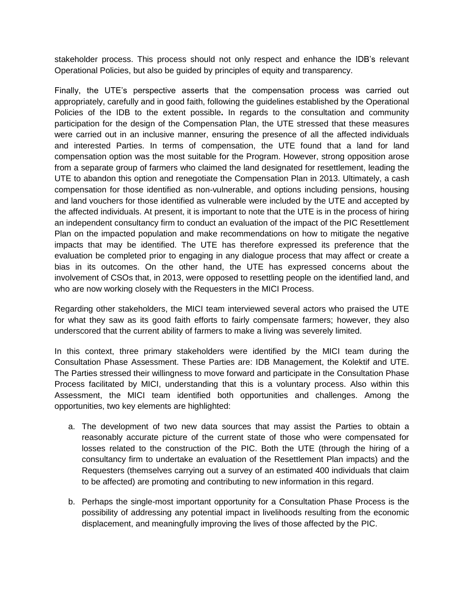stakeholder process. This process should not only respect and enhance the IDB's relevant Operational Policies, but also be guided by principles of equity and transparency.

Finally, the UTE's perspective asserts that the compensation process was carried out appropriately, carefully and in good faith, following the guidelines established by the Operational Policies of the IDB to the extent possible**.** In regards to the consultation and community participation for the design of the Compensation Plan, the UTE stressed that these measures were carried out in an inclusive manner, ensuring the presence of all the affected individuals and interested Parties. In terms of compensation, the UTE found that a land for land compensation option was the most suitable for the Program. However, strong opposition arose from a separate group of farmers who claimed the land designated for resettlement, leading the UTE to abandon this option and renegotiate the Compensation Plan in 2013. Ultimately, a cash compensation for those identified as non-vulnerable, and options including pensions, housing and land vouchers for those identified as vulnerable were included by the UTE and accepted by the affected individuals. At present, it is important to note that the UTE is in the process of hiring an independent consultancy firm to conduct an evaluation of the impact of the PIC Resettlement Plan on the impacted population and make recommendations on how to mitigate the negative impacts that may be identified. The UTE has therefore expressed its preference that the evaluation be completed prior to engaging in any dialogue process that may affect or create a bias in its outcomes. On the other hand, the UTE has expressed concerns about the involvement of CSOs that, in 2013, were opposed to resettling people on the identified land, and who are now working closely with the Requesters in the MICI Process.

Regarding other stakeholders, the MICI team interviewed several actors who praised the UTE for what they saw as its good faith efforts to fairly compensate farmers; however, they also underscored that the current ability of farmers to make a living was severely limited.

In this context, three primary stakeholders were identified by the MICI team during the Consultation Phase Assessment. These Parties are: IDB Management, the Kolektif and UTE. The Parties stressed their willingness to move forward and participate in the Consultation Phase Process facilitated by MICI, understanding that this is a voluntary process. Also within this Assessment, the MICI team identified both opportunities and challenges. Among the opportunities, two key elements are highlighted:

- a. The development of two new data sources that may assist the Parties to obtain a reasonably accurate picture of the current state of those who were compensated for losses related to the construction of the PIC. Both the UTE (through the hiring of a consultancy firm to undertake an evaluation of the Resettlement Plan impacts) and the Requesters (themselves carrying out a survey of an estimated 400 individuals that claim to be affected) are promoting and contributing to new information in this regard.
- b. Perhaps the single-most important opportunity for a Consultation Phase Process is the possibility of addressing any potential impact in livelihoods resulting from the economic displacement, and meaningfully improving the lives of those affected by the PIC.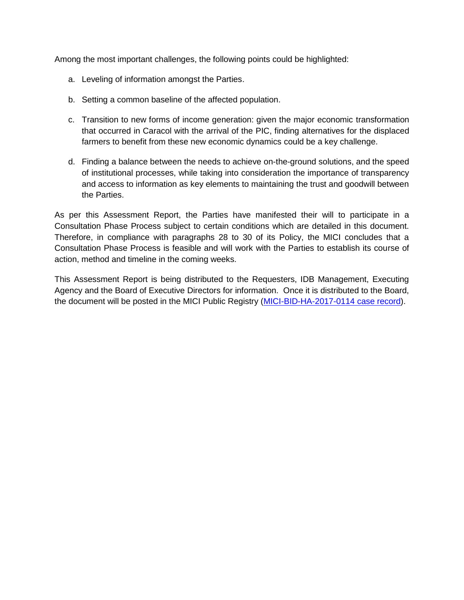Among the most important challenges, the following points could be highlighted:

- a. Leveling of information amongst the Parties.
- b. Setting a common baseline of the affected population.
- c. Transition to new forms of income generation: given the major economic transformation that occurred in Caracol with the arrival of the PIC, finding alternatives for the displaced farmers to benefit from these new economic dynamics could be a key challenge.
- d. Finding a balance between the needs to achieve on-the-ground solutions, and the speed of institutional processes, while taking into consideration the importance of transparency and access to information as key elements to maintaining the trust and goodwill between the Parties.

As per this Assessment Report, the Parties have manifested their will to participate in a Consultation Phase Process subject to certain conditions which are detailed in this document. Therefore, in compliance with paragraphs 28 to 30 of its Policy, the MICI concludes that a Consultation Phase Process is feasible and will work with the Parties to establish its course of action, method and timeline in the coming weeks.

This Assessment Report is being distributed to the Requesters, IDB Management, Executing Agency and the Board of Executive Directors for information. Once it is distributed to the Board, the document will be posted in the MICI Public Registry [\(MICI-BID-HA-2017-0114 case record\)](http://www.iadb.org/en/mici/complaint-detail,19172.html?ID=MICI-BID-HA-2017-0114).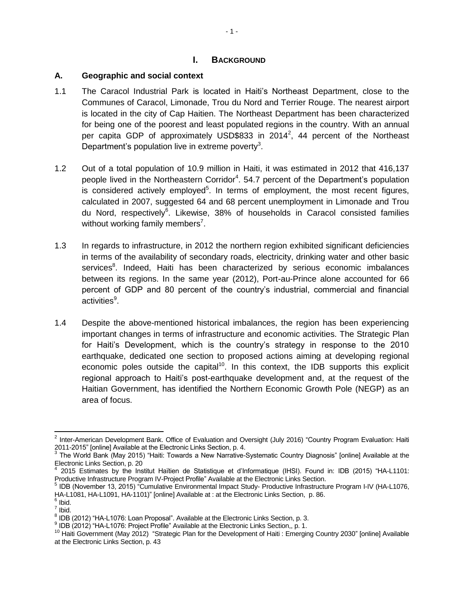#### **I. BACKGROUND**

#### <span id="page-9-1"></span><span id="page-9-0"></span>**A. Geographic and social context**

- 1.1 The Caracol Industrial Park is located in Haiti's Northeast Department, close to the Communes of Caracol, Limonade, Trou du Nord and Terrier Rouge. The nearest airport is located in the city of Cap Haitien. The Northeast Department has been characterized for being one of the poorest and least populated regions in the country. With an annual per capita GDP of approximately USD\$833 in 2014<sup>2</sup>, 44 percent of the Northeast Department's population live in extreme poverty<sup>3</sup>.
- 1.2 Out of a total population of 10.9 million in Haiti, it was estimated in 2012 that 416,137 people lived in the Northeastern Corridor<sup>4</sup>. 54.7 percent of the Department's population is considered actively employed<sup>5</sup>. In terms of employment, the most recent figures, calculated in 2007, suggested 64 and 68 percent unemployment in Limonade and Trou du Nord, respectively<sup>6</sup>. Likewise, 38% of households in Caracol consisted families without working family members<sup>7</sup>.
- 1.3 In regards to infrastructure, in 2012 the northern region exhibited significant deficiencies in terms of the availability of secondary roads, electricity, drinking water and other basic services<sup>8</sup>. Indeed, Haiti has been characterized by serious economic imbalances between its regions. In the same year (2012), Port-au-Prince alone accounted for 66 percent of GDP and 80 percent of the country's industrial, commercial and financial activities<sup>9</sup>.
- 1.4 Despite the above-mentioned historical imbalances, the region has been experiencing important changes in terms of infrastructure and economic activities. The Strategic Plan for Haiti's Development, which is the country's strategy in response to the 2010 earthquake, dedicated one section to proposed actions aiming at developing regional economic poles outside the capital<sup>10</sup>. In this context, the IDB supports this explicit regional approach to Haiti's post-earthquake development and, at the request of the Haitian Government, has identified the Northern Economic Growth Pole (NEGP) as an area of focus.

<sup>&</sup>lt;u>2</u><br><sup>2</sup> Inter-American Development Bank. Office of Evaluation and Oversight (July 2016) "Country Program Evaluation: Haiti

<sup>2011-2015&</sup>quot; [online] Available at the Electronic Links Section, p. 4.<br><sup>3</sup> The World Bank (May 2015) "Haiti: Towards a New Narrative-Systematic Country Diagnosis" [online] Available at the Electronic Links Section, p. 20

<sup>4</sup> 2015 Estimates by the Institut Haïtien de Statistique et d'Informatique (IHSI). Found in: IDB (2015) "HA-L1101: Productive Infrastructure Program IV-Project Profile" Available at the Electronic Links Section.

<sup>&</sup>lt;sup>5</sup> IDB (November 13, 2015) "Cumulative Environmental Impact Study- Productive Infrastructure Program I-IV (HA-L1076, HA-L1081, HA-L1091, HA-1101)" [online] Available at : at the Electronic Links Section, p. 86.

<sup>&</sup>lt;sup>6</sup> Ibid.  $\frac{7}{1}$  Ibid.

 $^8$  IDB (2012) "HA-L1076: Loan Proposal". Available at the Electronic Links Section, p. 3.

<sup>&</sup>lt;sup>9</sup> IDB (2012) "HA-L1076: Project Profile" Available at the Electronic Links Section,, p. 1.

<sup>&</sup>lt;sup>10</sup> Haiti Government (May 2012) "Strategic Plan for the Development of Haiti: Emerging Country 2030" [online] Available at the Electronic Links Section, p. 43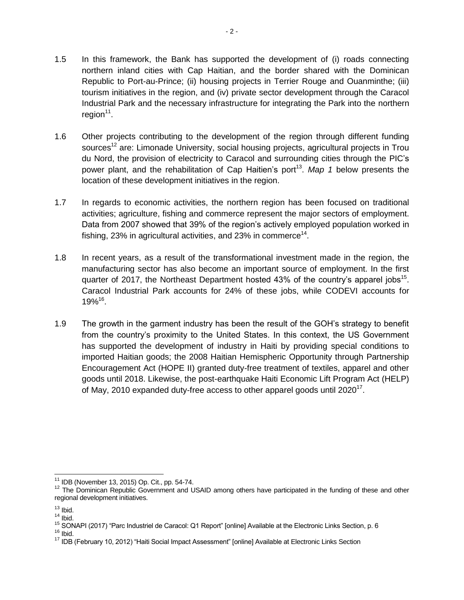- 1.5 In this framework, the Bank has supported the development of (i) roads connecting northern inland cities with Cap Haitian, and the border shared with the Dominican Republic to Port-au-Prince; (ii) housing projects in Terrier Rouge and Ouanminthe; (iii) tourism initiatives in the region, and (iv) private sector development through the Caracol Industrial Park and the necessary infrastructure for integrating the Park into the northern region<sup>11</sup>.
- 1.6 Other projects contributing to the development of the region through different funding sources<sup>12</sup> are: Limonade University, social housing projects, agricultural projects in Trou du Nord, the provision of electricity to Caracol and surrounding cities through the PIC's power plant, and the rehabilitation of Cap Haitien's port<sup>13</sup>. Map 1 below presents the location of these development initiatives in the region.
- 1.7 In regards to economic activities, the northern region has been focused on traditional activities; agriculture, fishing and commerce represent the major sectors of employment. Data from 2007 showed that 39% of the region's actively employed population worked in fishing, 23% in agricultural activities, and 23% in commerce<sup>14</sup>.
- 1.8 In recent years, as a result of the transformational investment made in the region, the manufacturing sector has also become an important source of employment. In the first quarter of 2017, the Northeast Department hosted 43% of the country's apparel jobs<sup>15</sup>. Caracol Industrial Park accounts for 24% of these jobs, while CODEVI accounts for  $19\%^{16}$ .
- 1.9 The growth in the garment industry has been the result of the GOH's strategy to benefit from the country's proximity to the United States. In this context, the US Government has supported the development of industry in Haiti by providing special conditions to imported Haitian goods; the 2008 Haitian Hemispheric Opportunity through Partnership Encouragement Act (HOPE II) granted duty-free treatment of textiles, apparel and other goods until 2018. Likewise, the post-earthquake Haiti Economic Lift Program Act (HELP) of May, 2010 expanded duty-free access to other apparel goods until 2020<sup>17</sup>.

 $\overline{\phantom{a}}$ <sup>11</sup> IDB (November 13, 2015) Op. Cit., pp. 54-74.

<sup>&</sup>lt;sup>12</sup> The Dominican Republic Government and USAID among others have participated in the funding of these and other regional development initiatives.

 $13$  Ibid.

 $14$  Ibid.

<sup>&</sup>lt;sup>15</sup> SONAPI (2017) "Parc Industriel de Caracol: Q1 Report" [online] Available at the Electronic Links Section, p. 6  $16$  Ibid.

<sup>&</sup>lt;sup>17</sup> IDB (February 10, 2012) "Haiti Social Impact Assessment" [online] Available at Electronic Links Section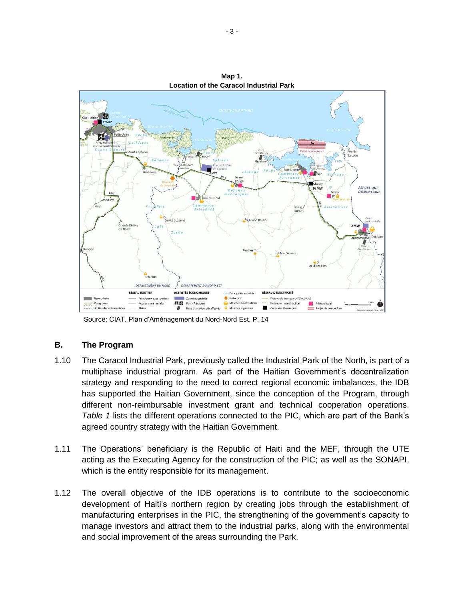

**Map 1. Location of the Caracol Industrial Park**

Source: CIAT. Plan d'Aménagement du Nord-Nord Est. P. 14

#### <span id="page-11-0"></span>**B. The Program**

- 1.10 The Caracol Industrial Park, previously called the Industrial Park of the North, is part of a multiphase industrial program. As part of the Haitian Government's decentralization strategy and responding to the need to correct regional economic imbalances, the IDB has supported the Haitian Government, since the conception of the Program, through different non-reimbursable investment grant and technical cooperation operations. *Table 1* lists the different operations connected to the PIC, which are part of the Bank's agreed country strategy with the Haitian Government.
- 1.11 The Operations' beneficiary is the Republic of Haiti and the MEF, through the UTE acting as the Executing Agency for the construction of the PIC; as well as the SONAPI, which is the entity responsible for its management.
- 1.12 The overall objective of the IDB operations is to contribute to the socioeconomic development of Haiti's northern region by creating jobs through the establishment of manufacturing enterprises in the PIC, the strengthening of the government's capacity to manage investors and attract them to the industrial parks, along with the environmental and social improvement of the areas surrounding the Park.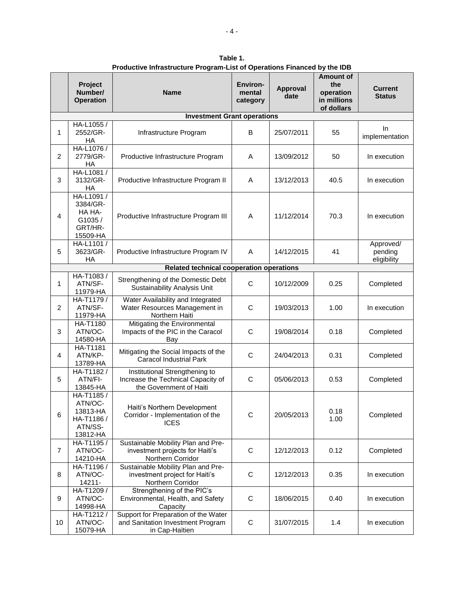|                                                                           | Project<br>Number/<br><b>Operation</b>                                                                    | <b>Name</b>                                                                                     | <b>Environ-</b><br>mental<br>category | Approval<br>date | <b>Amount of</b><br>the<br>operation<br>in millions<br>of dollars | Current<br><b>Status</b> |
|---------------------------------------------------------------------------|-----------------------------------------------------------------------------------------------------------|-------------------------------------------------------------------------------------------------|---------------------------------------|------------------|-------------------------------------------------------------------|--------------------------|
|                                                                           |                                                                                                           | <b>Investment Grant operations</b>                                                              |                                       |                  |                                                                   |                          |
| 1                                                                         | HA-L1055 /<br>2552/GR-<br><b>HA</b>                                                                       | Infrastructure Program                                                                          | B                                     | 25/07/2011       | 55                                                                | In.<br>implementation    |
| 2                                                                         | HA-L1076 /<br>2779/GR-<br>НA                                                                              | Productive Infrastructure Program                                                               | A                                     | 13/09/2012       | 50                                                                | In execution             |
| 3                                                                         | HA-L1081 /<br>3132/GR-<br><b>HA</b>                                                                       | Productive Infrastructure Program II                                                            | A                                     | 13/12/2013       | 40.5                                                              | In execution             |
| 4                                                                         | HA-L1091/<br>3384/GR-<br>HA HA-<br>G1035/<br>GRT/HR-<br>15509-HA                                          | Productive Infrastructure Program III                                                           | A                                     | 11/12/2014       | 70.3                                                              | In execution             |
| HA-L1101 /<br>3623/GR-<br>5<br>Productive Infrastructure Program IV<br>HA |                                                                                                           | A                                                                                               | 14/12/2015                            | 41               | Approved/<br>pending<br>eligibility                               |                          |
|                                                                           |                                                                                                           | Related technical cooperation operations                                                        |                                       |                  |                                                                   |                          |
| 1                                                                         | HA-T1083/<br>ATN/SF-<br>11979-HA                                                                          | Strengthening of the Domestic Debt<br>Sustainability Analysis Unit                              | $\mathsf{C}$                          | 10/12/2009       | 0.25                                                              | Completed                |
| 2                                                                         | HA-T1179 /<br>ATN/SF-<br>11979-HA                                                                         | Water Availability and Integrated<br>Water Resources Management in<br>Northern Haiti            | $\mathsf{C}$                          | 19/03/2013       | 1.00                                                              | In execution             |
| 3                                                                         | HA-T1180<br>ATN/OC-<br>14580-HA                                                                           | Mitigating the Environmental<br>Impacts of the PIC in the Caracol<br>Bay                        | C                                     | 19/08/2014       | 0.18                                                              | Completed                |
| 4                                                                         | HA-T1181<br>Mitigating the Social Impacts of the<br>ATN/KP-<br><b>Caracol Industrial Park</b><br>13789-HA |                                                                                                 | C                                     | 24/04/2013       | 0.31                                                              | Completed                |
| 5                                                                         | HA-T1182 /<br>ATN/FI-<br>13845-HA                                                                         | Institutional Strengthening to<br>Increase the Technical Capacity of<br>the Government of Haiti | C                                     | 05/06/2013       | 0.53                                                              | Completed                |
| 6                                                                         | HA-T1185 /<br>ATN/OC-<br>13813-HA<br>HA-T1186 /<br>ATN/SS-<br>13812-HA                                    | Haiti's Northern Development<br>Corridor - Implementation of the<br><b>ICES</b>                 | C                                     | 20/05/2013       | 0.18<br>1.00                                                      | Completed                |
| $\overline{7}$                                                            | HA-T1195 /<br>ATN/OC-<br>14210-HA                                                                         | Sustainable Mobility Plan and Pre-<br>investment projects for Haiti's<br>Northern Corridor      | C                                     | 12/12/2013       | 0.12                                                              | Completed                |
| 8                                                                         | HA-T1196 /<br>ATN/OC-<br>14211-                                                                           | Sustainable Mobility Plan and Pre-<br>investment project for Haiti's<br>Northern Corridor       | C                                     | 12/12/2013       | 0.35                                                              | In execution             |
| 9                                                                         | HA-T1209 /<br>ATN/OC-<br>14998-HA                                                                         | Strengthening of the PIC's<br>Environmental, Health, and Safety<br>Capacity                     | $\mathsf C$                           | 18/06/2015       | 0.40                                                              | In execution             |
| 10                                                                        | HA-T1212/<br>ATN/OC-<br>15079-HA                                                                          | Support for Preparation of the Water<br>and Sanitation Investment Program<br>in Cap-Haïtien     | $\mathsf C$                           | 31/07/2015       | 1.4                                                               | In execution             |

**Table 1. Productive Infrastructure Program-List of Operations Financed by the IDB**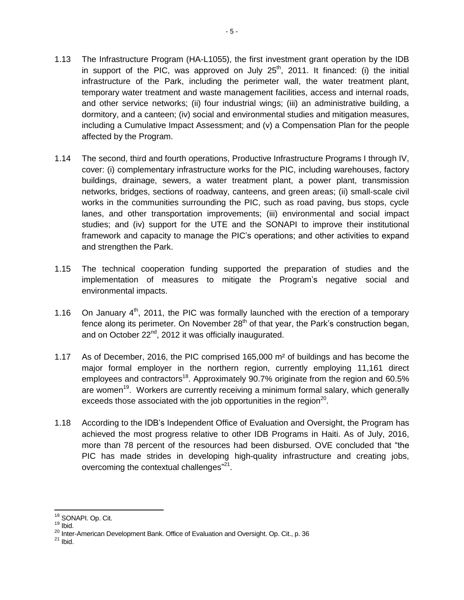- 1.13 The Infrastructure Program (HA-L1055), the first investment grant operation by the IDB in support of the PIC, was approved on July  $25<sup>th</sup>$ , 2011. It financed: (i) the initial infrastructure of the Park, including the perimeter wall, the water treatment plant, temporary water treatment and waste management facilities, access and internal roads, and other service networks; (ii) four industrial wings; (iii) an administrative building, a dormitory, and a canteen; (iv) social and environmental studies and mitigation measures, including a Cumulative Impact Assessment; and (v) a Compensation Plan for the people affected by the Program.
- 1.14 The second, third and fourth operations, Productive Infrastructure Programs I through IV, cover: (i) complementary infrastructure works for the PIC, including warehouses, factory buildings, drainage, sewers, a water treatment plant, a power plant, transmission networks, bridges, sections of roadway, canteens, and green areas; (ii) small-scale civil works in the communities surrounding the PIC, such as road paving, bus stops, cycle lanes, and other transportation improvements; (iii) environmental and social impact studies; and (iv) support for the UTE and the SONAPI to improve their institutional framework and capacity to manage the PIC's operations; and other activities to expand and strengthen the Park.
- 1.15 The technical cooperation funding supported the preparation of studies and the implementation of measures to mitigate the Program's negative social and environmental impacts.
- 1.16 On January  $4<sup>th</sup>$ , 2011, the PIC was formally launched with the erection of a temporary fence along its perimeter. On November  $28<sup>th</sup>$  of that year, the Park's construction began, and on October 22<sup>nd</sup>, 2012 it was officially inaugurated.
- 1.17 As of December, 2016, the PIC comprised 165,000 m² of buildings and has become the major formal employer in the northern region, currently employing 11,161 direct employees and contractors<sup>18</sup>. Approximately 90.7% originate from the region and 60.5% are women<sup>19</sup>. Workers are currently receiving a minimum formal salary, which generally exceeds those associated with the job opportunities in the region<sup>20</sup>.
- 1.18 According to the IDB's Independent Office of Evaluation and Oversight, the Program has achieved the most progress relative to other IDB Programs in Haiti. As of July, 2016, more than 78 percent of the resources had been disbursed. OVE concluded that "the PIC has made strides in developing high-quality infrastructure and creating jobs, overcoming the contextual challenges"<sup>21</sup>.

 $\overline{\phantom{a}}$ <sup>18</sup> SONAPI. Op. Cit.

 $19$  Ibid.

<sup>20</sup> Inter-American Development Bank. Office of Evaluation and Oversight. Op. Cit., p. 36

 $21$  Ibid.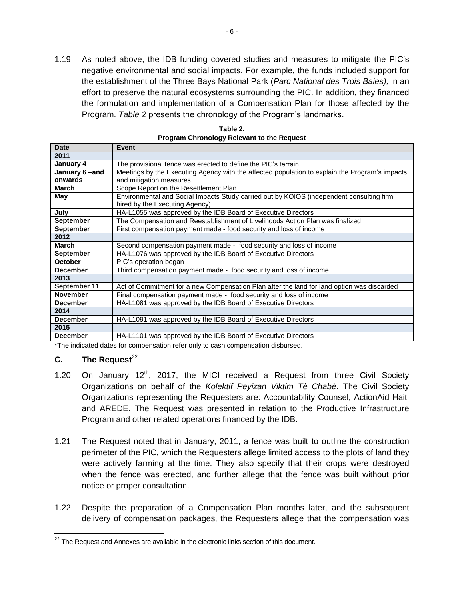1.19 As noted above, the IDB funding covered studies and measures to mitigate the PIC's negative environmental and social impacts. For example, the funds included support for the establishment of the Three Bays National Park (*Parc National des Trois Baies),* in an effort to preserve the natural ecosystems surrounding the PIC. In addition, they financed the formulation and implementation of a Compensation Plan for those affected by the Program. *Table 2* presents the chronology of the Program's landmarks.

| <b>Date</b>      | Event                                                                                          |  |
|------------------|------------------------------------------------------------------------------------------------|--|
| 2011             |                                                                                                |  |
| January 4        | The provisional fence was erected to define the PIC's terrain                                  |  |
| January 6-and    | Meetings by the Executing Agency with the affected population to explain the Program's impacts |  |
| onwards          | and mitigation measures                                                                        |  |
| March            | Scope Report on the Resettlement Plan                                                          |  |
| May              | Environmental and Social Impacts Study carried out by KOIOS (independent consulting firm       |  |
|                  | hired by the Executing Agency)                                                                 |  |
| July             | HA-L1055 was approved by the IDB Board of Executive Directors                                  |  |
| September        | The Compensation and Reestablishment of Livelihoods Action Plan was finalized                  |  |
| <b>September</b> | First compensation payment made - food security and loss of income                             |  |
| 2012             |                                                                                                |  |
| <b>March</b>     | Second compensation payment made - food security and loss of income                            |  |
| <b>September</b> | HA-L1076 was approved by the IDB Board of Executive Directors                                  |  |
| <b>October</b>   | PIC's operation began                                                                          |  |
| <b>December</b>  | Third compensation payment made - food security and loss of income                             |  |
| 2013             |                                                                                                |  |
| September 11     | Act of Commitment for a new Compensation Plan after the land for land option was discarded     |  |
| <b>November</b>  | Final compensation payment made - food security and loss of income                             |  |
| <b>December</b>  | HA-L1081 was approved by the IDB Board of Executive Directors                                  |  |
| 2014             |                                                                                                |  |
| <b>December</b>  | HA-L1091 was approved by the IDB Board of Executive Directors                                  |  |
| 2015             |                                                                                                |  |
| <b>December</b>  | HA-L1101 was approved by the IDB Board of Executive Directors                                  |  |

**Table 2. Program Chronology Relevant to the Request**

\*The indicated dates for compensation refer only to cash compensation disbursed.

#### <span id="page-14-0"></span>**C.** The Request<sup>22</sup>

- 1.20 On January  $12<sup>th</sup>$ , 2017, the MICI received a Request from three Civil Society Organizations on behalf of the *Kolektif Peyizan Viktim Tè Chabè*. The Civil Society Organizations representing the Requesters are: Accountability Counsel, ActionAid Haiti and AREDE. The Request was presented in relation to the Productive Infrastructure Program and other related operations financed by the IDB.
- 1.21 The Request noted that in January, 2011, a fence was built to outline the construction perimeter of the PIC, which the Requesters allege limited access to the plots of land they were actively farming at the time. They also specify that their crops were destroyed when the fence was erected, and further allege that the fence was built without prior notice or proper consultation.
- 1.22 Despite the preparation of a Compensation Plan months later, and the subsequent delivery of compensation packages, the Requesters allege that the compensation was

 $\overline{\phantom{a}}$  $22$  The Request and Annexes are available in the electronic links section of this document.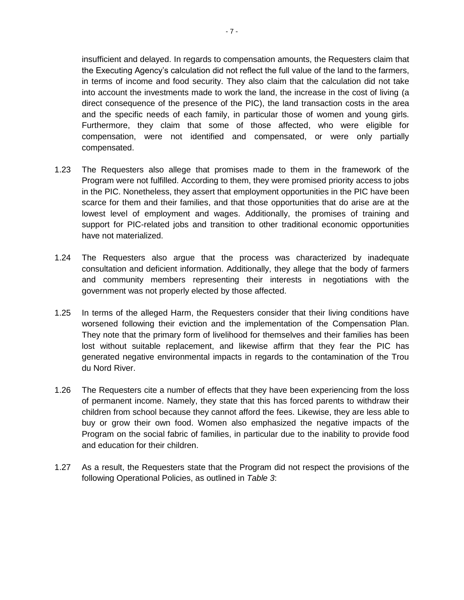insufficient and delayed. In regards to compensation amounts, the Requesters claim that the Executing Agency's calculation did not reflect the full value of the land to the farmers, in terms of income and food security. They also claim that the calculation did not take into account the investments made to work the land, the increase in the cost of living (a direct consequence of the presence of the PIC), the land transaction costs in the area and the specific needs of each family, in particular those of women and young girls. Furthermore, they claim that some of those affected, who were eligible for compensation, were not identified and compensated, or were only partially compensated.

- 1.23 The Requesters also allege that promises made to them in the framework of the Program were not fulfilled. According to them, they were promised priority access to jobs in the PIC. Nonetheless, they assert that employment opportunities in the PIC have been scarce for them and their families, and that those opportunities that do arise are at the lowest level of employment and wages. Additionally, the promises of training and support for PIC-related jobs and transition to other traditional economic opportunities have not materialized.
- 1.24 The Requesters also argue that the process was characterized by inadequate consultation and deficient information. Additionally, they allege that the body of farmers and community members representing their interests in negotiations with the government was not properly elected by those affected.
- 1.25 In terms of the alleged Harm, the Requesters consider that their living conditions have worsened following their eviction and the implementation of the Compensation Plan. They note that the primary form of livelihood for themselves and their families has been lost without suitable replacement, and likewise affirm that they fear the PIC has generated negative environmental impacts in regards to the contamination of the Trou du Nord River.
- 1.26 The Requesters cite a number of effects that they have been experiencing from the loss of permanent income. Namely, they state that this has forced parents to withdraw their children from school because they cannot afford the fees. Likewise, they are less able to buy or grow their own food. Women also emphasized the negative impacts of the Program on the social fabric of families, in particular due to the inability to provide food and education for their children.
- 1.27 As a result, the Requesters state that the Program did not respect the provisions of the following Operational Policies, as outlined in *Table 3*: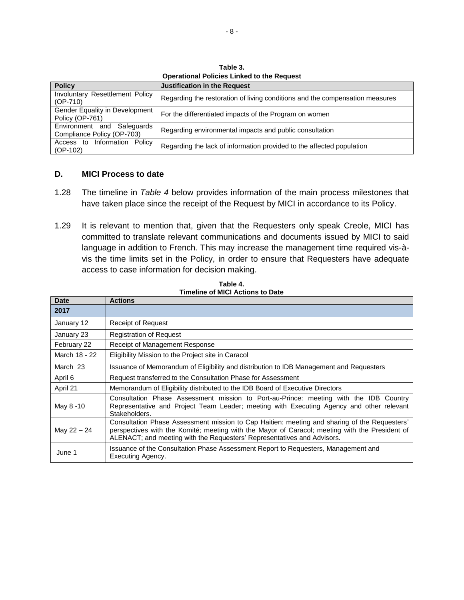**Table 3. Operational Policies Linked to the Request**

| <b>Policy</b>                                            | <b>Justification in the Request</b>                                          |
|----------------------------------------------------------|------------------------------------------------------------------------------|
| Involuntary Resettlement Policy<br>$(OP-710)$            | Regarding the restoration of living conditions and the compensation measures |
| Gender Equality in Development<br>Policy (OP-761)        | For the differentiated impacts of the Program on women                       |
| Environment and Safeguards<br>Compliance Policy (OP-703) | Regarding environmental impacts and public consultation                      |
| Access to Information Policy<br>$(OP-102)$               | Regarding the lack of information provided to the affected population        |

#### <span id="page-16-0"></span>**D. MICI Process to date**

- 1.28 The timeline in *Table 4* below provides information of the main process milestones that have taken place since the receipt of the Request by MICI in accordance to its Policy.
- 1.29 It is relevant to mention that, given that the Requesters only speak Creole, MICI has committed to translate relevant communications and documents issued by MICI to said language in addition to French. This may increase the management time required vis-àvis the time limits set in the Policy, in order to ensure that Requesters have adequate access to case information for decision making.

| Date          | <b>Actions</b>                                                                                                                                                                                                                                                            |  |
|---------------|---------------------------------------------------------------------------------------------------------------------------------------------------------------------------------------------------------------------------------------------------------------------------|--|
| 2017          |                                                                                                                                                                                                                                                                           |  |
| January 12    | <b>Receipt of Request</b>                                                                                                                                                                                                                                                 |  |
| January 23    | <b>Registration of Reguest</b>                                                                                                                                                                                                                                            |  |
| February 22   | Receipt of Management Response                                                                                                                                                                                                                                            |  |
| March 18 - 22 | Eligibility Mission to the Project site in Caracol                                                                                                                                                                                                                        |  |
| March 23      | Issuance of Memorandum of Eligibility and distribution to IDB Management and Requesters                                                                                                                                                                                   |  |
| April 6       | Request transferred to the Consultation Phase for Assessment                                                                                                                                                                                                              |  |
| April 21      | Memorandum of Eligibility distributed to the IDB Board of Executive Directors                                                                                                                                                                                             |  |
| May 8 -10     | Consultation Phase Assessment mission to Port-au-Prince: meeting with the IDB Country<br>Representative and Project Team Leader; meeting with Executing Agency and other relevant<br>Stakeholders.                                                                        |  |
| May 22 - 24   | Consultation Phase Assessment mission to Cap Haitien: meeting and sharing of the Requesters'<br>perspectives with the Komité; meeting with the Mayor of Caracol; meeting with the President of<br>ALENACT; and meeting with the Requesters' Representatives and Advisors. |  |
| June 1        | Issuance of the Consultation Phase Assessment Report to Requesters, Management and<br>Executing Agency.                                                                                                                                                                   |  |

**Table 4. Timeline of MICI Actions to Date**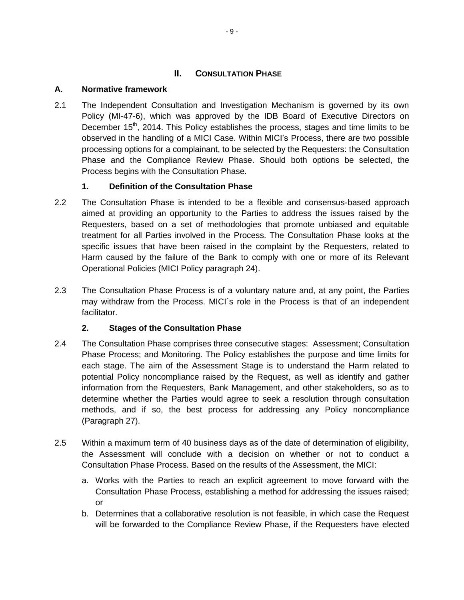# **II. CONSULTATION PHASE**

# <span id="page-17-1"></span><span id="page-17-0"></span>**A. Normative framework**

2.1 The Independent Consultation and Investigation Mechanism is governed by its own Policy (MI-47-6), which was approved by the IDB Board of Executive Directors on December  $15<sup>th</sup>$ , 2014. This Policy establishes the process, stages and time limits to be observed in the handling of a MICI Case. Within MICI's Process, there are two possible processing options for a complainant, to be selected by the Requesters: the Consultation Phase and the Compliance Review Phase. Should both options be selected, the Process begins with the Consultation Phase.

# **1. Definition of the Consultation Phase**

- <span id="page-17-2"></span>2.2 The Consultation Phase is intended to be a flexible and consensus-based approach aimed at providing an opportunity to the Parties to address the issues raised by the Requesters, based on a set of methodologies that promote unbiased and equitable treatment for all Parties involved in the Process. The Consultation Phase looks at the specific issues that have been raised in the complaint by the Requesters, related to Harm caused by the failure of the Bank to comply with one or more of its Relevant Operational Policies (MICI Policy paragraph 24).
- 2.3 The Consultation Phase Process is of a voluntary nature and, at any point, the Parties may withdraw from the Process. MICI´s role in the Process is that of an independent facilitator.

# **2. Stages of the Consultation Phase**

- <span id="page-17-3"></span>2.4 The Consultation Phase comprises three consecutive stages: Assessment; Consultation Phase Process; and Monitoring. The Policy establishes the purpose and time limits for each stage. The aim of the Assessment Stage is to understand the Harm related to potential Policy noncompliance raised by the Request, as well as identify and gather information from the Requesters, Bank Management, and other stakeholders, so as to determine whether the Parties would agree to seek a resolution through consultation methods, and if so, the best process for addressing any Policy noncompliance (Paragraph 27).
- 2.5 Within a maximum term of 40 business days as of the date of determination of eligibility, the Assessment will conclude with a decision on whether or not to conduct a Consultation Phase Process. Based on the results of the Assessment, the MICI:
	- a. Works with the Parties to reach an explicit agreement to move forward with the Consultation Phase Process, establishing a method for addressing the issues raised; or
	- b. Determines that a collaborative resolution is not feasible, in which case the Request will be forwarded to the Compliance Review Phase, if the Requesters have elected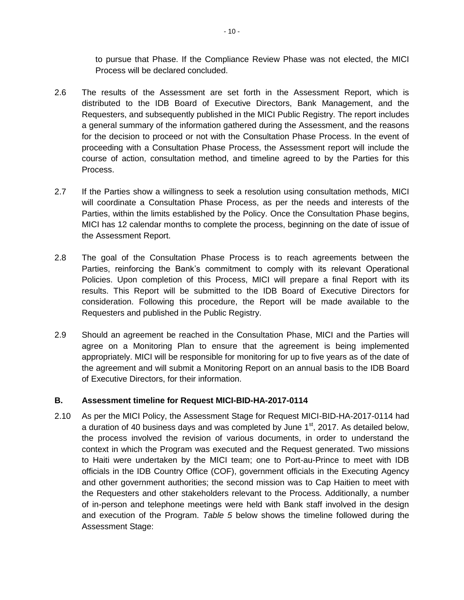to pursue that Phase. If the Compliance Review Phase was not elected, the MICI Process will be declared concluded.

- 2.6 The results of the Assessment are set forth in the Assessment Report, which is distributed to the IDB Board of Executive Directors, Bank Management, and the Requesters, and subsequently published in the MICI Public Registry. The report includes a general summary of the information gathered during the Assessment, and the reasons for the decision to proceed or not with the Consultation Phase Process. In the event of proceeding with a Consultation Phase Process, the Assessment report will include the course of action, consultation method, and timeline agreed to by the Parties for this Process.
- 2.7 If the Parties show a willingness to seek a resolution using consultation methods, MICI will coordinate a Consultation Phase Process, as per the needs and interests of the Parties, within the limits established by the Policy. Once the Consultation Phase begins, MICI has 12 calendar months to complete the process, beginning on the date of issue of the Assessment Report.
- 2.8 The goal of the Consultation Phase Process is to reach agreements between the Parties, reinforcing the Bank's commitment to comply with its relevant Operational Policies. Upon completion of this Process, MICI will prepare a final Report with its results. This Report will be submitted to the IDB Board of Executive Directors for consideration. Following this procedure, the Report will be made available to the Requesters and published in the Public Registry.
- 2.9 Should an agreement be reached in the Consultation Phase, MICI and the Parties will agree on a Monitoring Plan to ensure that the agreement is being implemented appropriately. MICI will be responsible for monitoring for up to five years as of the date of the agreement and will submit a Monitoring Report on an annual basis to the IDB Board of Executive Directors, for their information.

#### <span id="page-18-0"></span>**B. Assessment timeline for Request MICI-BID-HA-2017-0114**

2.10 As per the MICI Policy, the Assessment Stage for Request MICI-BID-HA-2017-0114 had a duration of 40 business days and was completed by June  $1<sup>st</sup>$ , 2017. As detailed below, the process involved the revision of various documents, in order to understand the context in which the Program was executed and the Request generated. Two missions to Haiti were undertaken by the MICI team; one to Port-au-Prince to meet with IDB officials in the IDB Country Office (COF), government officials in the Executing Agency and other government authorities; the second mission was to Cap Haitien to meet with the Requesters and other stakeholders relevant to the Process. Additionally, a number of in-person and telephone meetings were held with Bank staff involved in the design and execution of the Program. *Table 5* below shows the timeline followed during the Assessment Stage: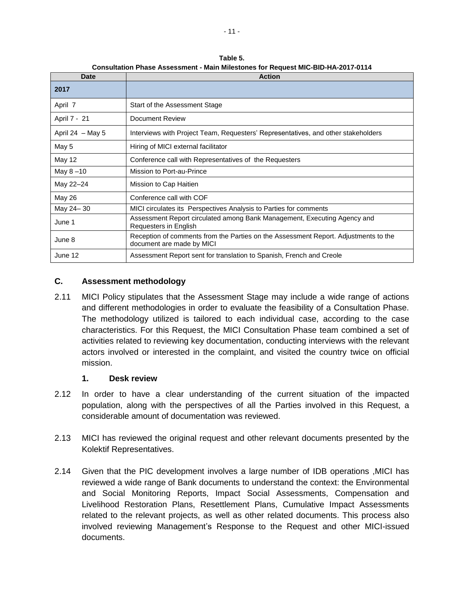| <b>Date</b>        | <b>Action</b>                                                                                                    |
|--------------------|------------------------------------------------------------------------------------------------------------------|
| 2017               |                                                                                                                  |
| April 7            | Start of the Assessment Stage                                                                                    |
| April 7 - 21       | Document Review                                                                                                  |
| April 24 $-$ May 5 | Interviews with Project Team, Requesters' Representatives, and other stakeholders                                |
| May 5              | Hiring of MICI external facilitator                                                                              |
| May 12             | Conference call with Representatives of the Requesters                                                           |
| May 8-10           | Mission to Port-au-Prince                                                                                        |
| May 22-24          | Mission to Cap Haitien                                                                                           |
| May 26             | Conference call with COF                                                                                         |
| May 24-30          | MICI circulates its Perspectives Analysis to Parties for comments                                                |
| June 1             | Assessment Report circulated among Bank Management, Executing Agency and<br>Requesters in English                |
| June 8             | Reception of comments from the Parties on the Assessment Report. Adjustments to the<br>document are made by MICI |
| June 12            | Assessment Report sent for translation to Spanish, French and Creole                                             |

**Table 5. Consultation Phase Assessment - Main Milestones for Request MIC-BID-HA-2017-0114**

#### <span id="page-19-0"></span>**C. Assessment methodology**

2.11 MICI Policy stipulates that the Assessment Stage may include a wide range of actions and different methodologies in order to evaluate the feasibility of a Consultation Phase. The methodology utilized is tailored to each individual case, according to the case characteristics. For this Request, the MICI Consultation Phase team combined a set of activities related to reviewing key documentation, conducting interviews with the relevant actors involved or interested in the complaint, and visited the country twice on official mission.

#### **1. Desk review**

- <span id="page-19-1"></span>2.12 In order to have a clear understanding of the current situation of the impacted population, along with the perspectives of all the Parties involved in this Request, a considerable amount of documentation was reviewed.
- 2.13 MICI has reviewed the original request and other relevant documents presented by the Kolektif Representatives.
- 2.14 Given that the PIC development involves a large number of IDB operations ,MICI has reviewed a wide range of Bank documents to understand the context: the Environmental and Social Monitoring Reports, Impact Social Assessments, Compensation and Livelihood Restoration Plans, Resettlement Plans, Cumulative Impact Assessments related to the relevant projects, as well as other related documents. This process also involved reviewing Management's Response to the Request and other MICI-issued documents.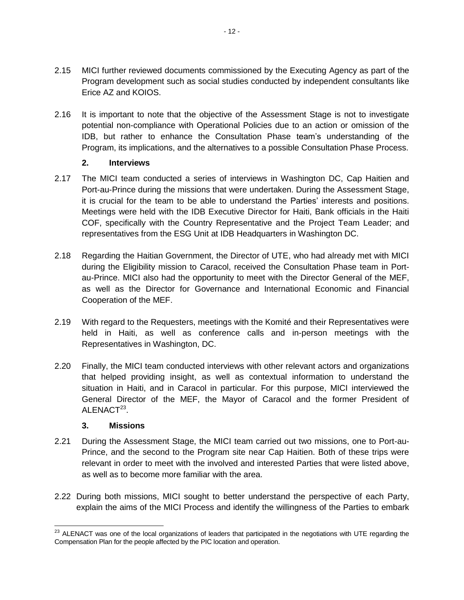- 2.15 MICI further reviewed documents commissioned by the Executing Agency as part of the Program development such as social studies conducted by independent consultants like Erice AZ and KOIOS.
- 2.16 It is important to note that the objective of the Assessment Stage is not to investigate potential non-compliance with Operational Policies due to an action or omission of the IDB, but rather to enhance the Consultation Phase team's understanding of the Program, its implications, and the alternatives to a possible Consultation Phase Process.

### **2. Interviews**

- <span id="page-20-0"></span>2.17 The MICI team conducted a series of interviews in Washington DC, Cap Haitien and Port-au-Prince during the missions that were undertaken. During the Assessment Stage, it is crucial for the team to be able to understand the Parties' interests and positions. Meetings were held with the IDB Executive Director for Haiti, Bank officials in the Haiti COF, specifically with the Country Representative and the Project Team Leader; and representatives from the ESG Unit at IDB Headquarters in Washington DC.
- 2.18 Regarding the Haitian Government, the Director of UTE, who had already met with MICI during the Eligibility mission to Caracol, received the Consultation Phase team in Portau-Prince. MICI also had the opportunity to meet with the Director General of the MEF, as well as the Director for Governance and International Economic and Financial Cooperation of the MEF.
- 2.19 With regard to the Requesters, meetings with the Komité and their Representatives were held in Haiti, as well as conference calls and in-person meetings with the Representatives in Washington, DC.
- 2.20 Finally, the MICI team conducted interviews with other relevant actors and organizations that helped providing insight, as well as contextual information to understand the situation in Haiti, and in Caracol in particular. For this purpose, MICI interviewed the General Director of the MEF, the Mayor of Caracol and the former President of  $ALENACT<sup>23</sup>$ .

## **3. Missions**

- <span id="page-20-1"></span>2.21 During the Assessment Stage, the MICI team carried out two missions, one to Port-au-Prince, and the second to the Program site near Cap Haitien. Both of these trips were relevant in order to meet with the involved and interested Parties that were listed above, as well as to become more familiar with the area.
- 2.22 During both missions, MICI sought to better understand the perspective of each Party, explain the aims of the MICI Process and identify the willingness of the Parties to embark

l  $^{23}$  ALENACT was one of the local organizations of leaders that participated in the negotiations with UTE regarding the Compensation Plan for the people affected by the PIC location and operation.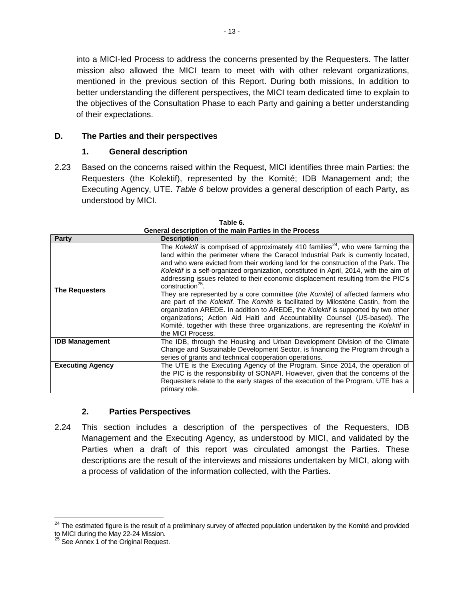into a MICI-led Process to address the concerns presented by the Requesters. The latter mission also allowed the MICI team to meet with with other relevant organizations, mentioned in the previous section of this Report. During both missions, In addition to better understanding the different perspectives, the MICI team dedicated time to explain to the objectives of the Consultation Phase to each Party and gaining a better understanding of their expectations.

### <span id="page-21-0"></span>**D. The Parties and their perspectives**

#### **1. General description**

<span id="page-21-1"></span>2.23 Based on the concerns raised within the Request, MICI identifies three main Parties: the Requesters (the Kolektif), represented by the Komité; IDB Management and; the Executing Agency, UTE. *Table 6* below provides a general description of each Party, as understood by MICI.

|                         | www.iptivii v: tilv liituli : tilvu ili tilv : .                                                                                                                                                                                                                                                                                                                                                                                                                                                                                                                                                                                                                                                                                                                                                                                                                                                                                         |
|-------------------------|------------------------------------------------------------------------------------------------------------------------------------------------------------------------------------------------------------------------------------------------------------------------------------------------------------------------------------------------------------------------------------------------------------------------------------------------------------------------------------------------------------------------------------------------------------------------------------------------------------------------------------------------------------------------------------------------------------------------------------------------------------------------------------------------------------------------------------------------------------------------------------------------------------------------------------------|
| Party                   | <b>Description</b>                                                                                                                                                                                                                                                                                                                                                                                                                                                                                                                                                                                                                                                                                                                                                                                                                                                                                                                       |
| <b>The Requesters</b>   | The Kolektif is comprised of approximately 410 families <sup>24</sup> , who were farming the<br>land within the perimeter where the Caracol Industrial Park is currently located,<br>and who were evicted from their working land for the construction of the Park. The<br>Kolektif is a self-organized organization, constituted in April, 2014, with the aim of<br>addressing issues related to their economic displacement resulting from the PIC's<br>construction <sup>25</sup> .<br>They are represented by a core committee (the Komité) of affected farmers who<br>are part of the Kolektif. The Komité is facilitated by Milostène Castin, from the<br>organization AREDE. In addition to AREDE, the Kolektif is supported by two other<br>organizations; Action Aid Haiti and Accountability Counsel (US-based). The<br>Komité, together with these three organizations, are representing the Kolektif in<br>the MICI Process. |
| <b>IDB Management</b>   | The IDB, through the Housing and Urban Development Division of the Climate<br>Change and Sustainable Development Sector, is financing the Program through a<br>series of grants and technical cooperation operations.                                                                                                                                                                                                                                                                                                                                                                                                                                                                                                                                                                                                                                                                                                                    |
| <b>Executing Agency</b> | The UTE is the Executing Agency of the Program. Since 2014, the operation of<br>the PIC is the responsibility of SONAPI. However, given that the concerns of the<br>Requesters relate to the early stages of the execution of the Program, UTE has a<br>primary role.                                                                                                                                                                                                                                                                                                                                                                                                                                                                                                                                                                                                                                                                    |

| Table 6.                                               |
|--------------------------------------------------------|
| General description of the main Parties in the Process |

#### **2. Parties Perspectives**

<span id="page-21-2"></span>2.24 This section includes a description of the perspectives of the Requesters, IDB Management and the Executing Agency, as understood by MICI, and validated by the Parties when a draft of this report was circulated amongst the Parties. These descriptions are the result of the interviews and missions undertaken by MICI, along with a process of validation of the information collected, with the Parties.

 $\overline{\phantom{a}}$ 

 $24$  The estimated figure is the result of a preliminary survey of affected population undertaken by the Komité and provided

to MICI during the May 22-24 Mission.

 $25$  See Annex 1 of the Original Request.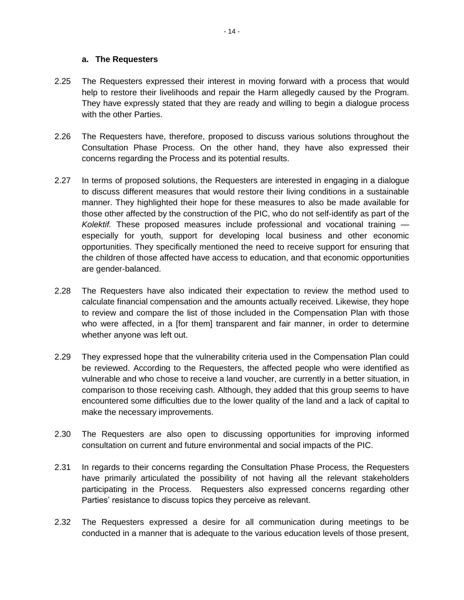#### **a. The Requesters**

- 2.25 The Requesters expressed their interest in moving forward with a process that would help to restore their livelihoods and repair the Harm allegedly caused by the Program. They have expressly stated that they are ready and willing to begin a dialogue process with the other Parties.
- 2.26 The Requesters have, therefore, proposed to discuss various solutions throughout the Consultation Phase Process. On the other hand, they have also expressed their concerns regarding the Process and its potential results.
- 2.27 In terms of proposed solutions, the Requesters are interested in engaging in a dialogue to discuss different measures that would restore their living conditions in a sustainable manner. They highlighted their hope for these measures to also be made available for those other affected by the construction of the PIC, who do not self-identify as part of the *Kolektif.* These proposed measures include professional and vocational training especially for youth, support for developing local business and other economic opportunities. They specifically mentioned the need to receive support for ensuring that the children of those affected have access to education, and that economic opportunities are gender-balanced.
- 2.28 The Requesters have also indicated their expectation to review the method used to calculate financial compensation and the amounts actually received. Likewise, they hope to review and compare the list of those included in the Compensation Plan with those who were affected, in a [for them] transparent and fair manner, in order to determine whether anyone was left out.
- 2.29 They expressed hope that the vulnerability criteria used in the Compensation Plan could be reviewed. According to the Requesters, the affected people who were identified as vulnerable and who chose to receive a land voucher, are currently in a better situation, in comparison to those receiving cash. Although, they added that this group seems to have encountered some difficulties due to the lower quality of the land and a lack of capital to make the necessary improvements.
- 2.30 The Requesters are also open to discussing opportunities for improving informed consultation on current and future environmental and social impacts of the PIC.
- 2.31 In regards to their concerns regarding the Consultation Phase Process, the Requesters have primarily articulated the possibility of not having all the relevant stakeholders participating in the Process. Requesters also expressed concerns regarding other Parties' resistance to discuss topics they perceive as relevant.
- 2.32 The Requesters expressed a desire for all communication during meetings to be conducted in a manner that is adequate to the various education levels of those present,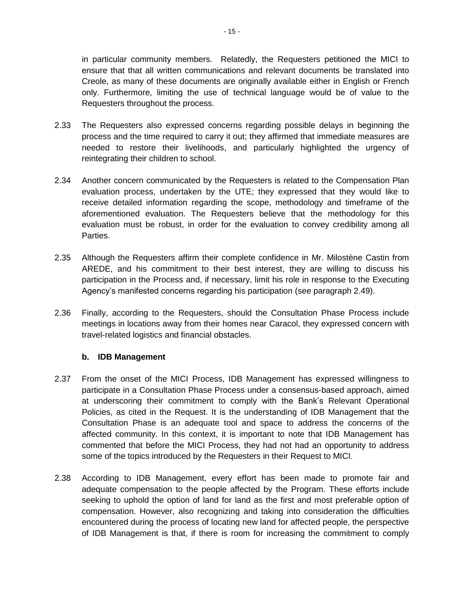in particular community members. Relatedly, the Requesters petitioned the MICI to ensure that that all written communications and relevant documents be translated into Creole, as many of these documents are originally available either in English or French only. Furthermore, limiting the use of technical language would be of value to the Requesters throughout the process.

- 2.33 The Requesters also expressed concerns regarding possible delays in beginning the process and the time required to carry it out; they affirmed that immediate measures are needed to restore their livelihoods, and particularly highlighted the urgency of reintegrating their children to school.
- 2.34 Another concern communicated by the Requesters is related to the Compensation Plan evaluation process, undertaken by the UTE; they expressed that they would like to receive detailed information regarding the scope, methodology and timeframe of the aforementioned evaluation. The Requesters believe that the methodology for this evaluation must be robust, in order for the evaluation to convey credibility among all Parties.
- 2.35 Although the Requesters affirm their complete confidence in Mr. Milostène Castin from AREDE, and his commitment to their best interest, they are willing to discuss his participation in the Process and, if necessary, limit his role in response to the Executing Agency's manifested concerns regarding his participation (see paragraph 2.49).
- 2.36 Finally, according to the Requesters, should the Consultation Phase Process include meetings in locations away from their homes near Caracol, they expressed concern with travel-related logistics and financial obstacles.

#### **b. IDB Management**

- 2.37 From the onset of the MICI Process, IDB Management has expressed willingness to participate in a Consultation Phase Process under a consensus-based approach, aimed at underscoring their commitment to comply with the Bank's Relevant Operational Policies, as cited in the Request. It is the understanding of IDB Management that the Consultation Phase is an adequate tool and space to address the concerns of the affected community. In this context, it is important to note that IDB Management has commented that before the MICI Process, they had not had an opportunity to address some of the topics introduced by the Requesters in their Request to MICI.
- 2.38 According to IDB Management, every effort has been made to promote fair and adequate compensation to the people affected by the Program. These efforts include seeking to uphold the option of land for land as the first and most preferable option of compensation. However, also recognizing and taking into consideration the difficulties encountered during the process of locating new land for affected people, the perspective of IDB Management is that, if there is room for increasing the commitment to comply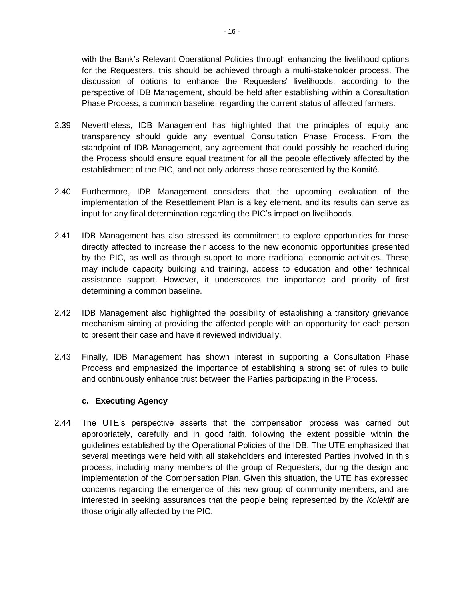with the Bank's Relevant Operational Policies through enhancing the livelihood options for the Requesters, this should be achieved through a multi-stakeholder process. The discussion of options to enhance the Requesters' livelihoods, according to the perspective of IDB Management, should be held after establishing within a Consultation Phase Process, a common baseline, regarding the current status of affected farmers.

- 2.39 Nevertheless, IDB Management has highlighted that the principles of equity and transparency should guide any eventual Consultation Phase Process. From the standpoint of IDB Management, any agreement that could possibly be reached during the Process should ensure equal treatment for all the people effectively affected by the establishment of the PIC, and not only address those represented by the Komité.
- 2.40 Furthermore, IDB Management considers that the upcoming evaluation of the implementation of the Resettlement Plan is a key element, and its results can serve as input for any final determination regarding the PIC's impact on livelihoods.
- 2.41 IDB Management has also stressed its commitment to explore opportunities for those directly affected to increase their access to the new economic opportunities presented by the PIC, as well as through support to more traditional economic activities. These may include capacity building and training, access to education and other technical assistance support. However, it underscores the importance and priority of first determining a common baseline.
- 2.42 IDB Management also highlighted the possibility of establishing a transitory grievance mechanism aiming at providing the affected people with an opportunity for each person to present their case and have it reviewed individually.
- 2.43 Finally, IDB Management has shown interest in supporting a Consultation Phase Process and emphasized the importance of establishing a strong set of rules to build and continuously enhance trust between the Parties participating in the Process.

#### **c. Executing Agency**

2.44 The UTE's perspective asserts that the compensation process was carried out appropriately, carefully and in good faith, following the extent possible within the guidelines established by the Operational Policies of the IDB. The UTE emphasized that several meetings were held with all stakeholders and interested Parties involved in this process, including many members of the group of Requesters, during the design and implementation of the Compensation Plan. Given this situation, the UTE has expressed concerns regarding the emergence of this new group of community members, and are interested in seeking assurances that the people being represented by the *Kolektif* are those originally affected by the PIC.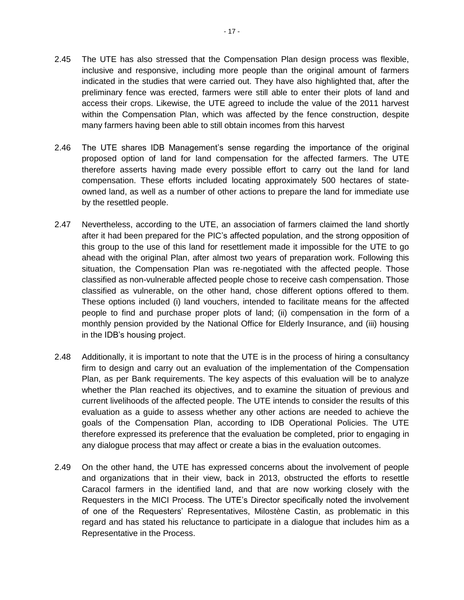- 2.45 The UTE has also stressed that the Compensation Plan design process was flexible, inclusive and responsive, including more people than the original amount of farmers indicated in the studies that were carried out. They have also highlighted that, after the preliminary fence was erected, farmers were still able to enter their plots of land and access their crops. Likewise, the UTE agreed to include the value of the 2011 harvest within the Compensation Plan, which was affected by the fence construction, despite many farmers having been able to still obtain incomes from this harvest
- 2.46 The UTE shares IDB Management's sense regarding the importance of the original proposed option of land for land compensation for the affected farmers. The UTE therefore asserts having made every possible effort to carry out the land for land compensation. These efforts included locating approximately 500 hectares of stateowned land, as well as a number of other actions to prepare the land for immediate use by the resettled people.
- 2.47 Nevertheless, according to the UTE, an association of farmers claimed the land shortly after it had been prepared for the PIC's affected population, and the strong opposition of this group to the use of this land for resettlement made it impossible for the UTE to go ahead with the original Plan, after almost two years of preparation work. Following this situation, the Compensation Plan was re-negotiated with the affected people. Those classified as non-vulnerable affected people chose to receive cash compensation. Those classified as vulnerable, on the other hand, chose different options offered to them. These options included (i) land vouchers, intended to facilitate means for the affected people to find and purchase proper plots of land; (ii) compensation in the form of a monthly pension provided by the National Office for Elderly Insurance, and (iii) housing in the IDB's housing project.
- 2.48 Additionally, it is important to note that the UTE is in the process of hiring a consultancy firm to design and carry out an evaluation of the implementation of the Compensation Plan, as per Bank requirements. The key aspects of this evaluation will be to analyze whether the Plan reached its objectives, and to examine the situation of previous and current livelihoods of the affected people. The UTE intends to consider the results of this evaluation as a guide to assess whether any other actions are needed to achieve the goals of the Compensation Plan, according to IDB Operational Policies. The UTE therefore expressed its preference that the evaluation be completed, prior to engaging in any dialogue process that may affect or create a bias in the evaluation outcomes.
- 2.49 On the other hand, the UTE has expressed concerns about the involvement of people and organizations that in their view, back in 2013, obstructed the efforts to resettle Caracol farmers in the identified land, and that are now working closely with the Requesters in the MICI Process. The UTE's Director specifically noted the involvement of one of the Requesters' Representatives, Milostène Castin, as problematic in this regard and has stated his reluctance to participate in a dialogue that includes him as a Representative in the Process.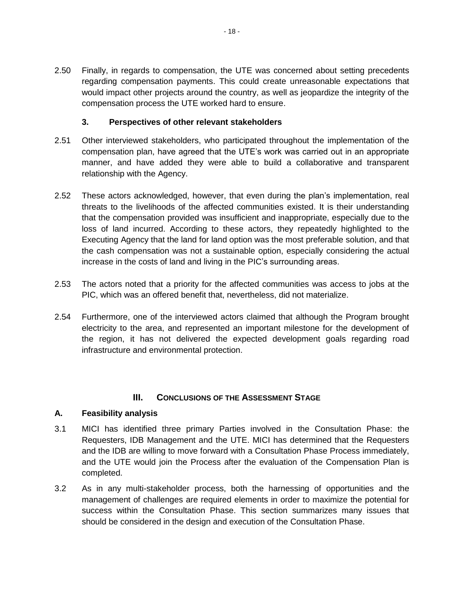2.50 Finally, in regards to compensation, the UTE was concerned about setting precedents regarding compensation payments. This could create unreasonable expectations that would impact other projects around the country, as well as jeopardize the integrity of the compensation process the UTE worked hard to ensure.

### **3. Perspectives of other relevant stakeholders**

- <span id="page-26-0"></span>2.51 Other interviewed stakeholders, who participated throughout the implementation of the compensation plan, have agreed that the UTE's work was carried out in an appropriate manner, and have added they were able to build a collaborative and transparent relationship with the Agency.
- 2.52 These actors acknowledged, however, that even during the plan's implementation, real threats to the livelihoods of the affected communities existed. It is their understanding that the compensation provided was insufficient and inappropriate, especially due to the loss of land incurred. According to these actors, they repeatedly highlighted to the Executing Agency that the land for land option was the most preferable solution, and that the cash compensation was not a sustainable option, especially considering the actual increase in the costs of land and living in the PIC's surrounding areas.
- 2.53 The actors noted that a priority for the affected communities was access to jobs at the PIC, which was an offered benefit that, nevertheless, did not materialize.
- 2.54 Furthermore, one of the interviewed actors claimed that although the Program brought electricity to the area, and represented an important milestone for the development of the region, it has not delivered the expected development goals regarding road infrastructure and environmental protection.

# **III.** CONCLUSIONS OF THE ASSESSMENT STAGE

#### <span id="page-26-2"></span><span id="page-26-1"></span>**A. Feasibility analysis**

- 3.1 MICI has identified three primary Parties involved in the Consultation Phase: the Requesters, IDB Management and the UTE. MICI has determined that the Requesters and the IDB are willing to move forward with a Consultation Phase Process immediately, and the UTE would join the Process after the evaluation of the Compensation Plan is completed.
- 3.2 As in any multi-stakeholder process, both the harnessing of opportunities and the management of challenges are required elements in order to maximize the potential for success within the Consultation Phase. This section summarizes many issues that should be considered in the design and execution of the Consultation Phase.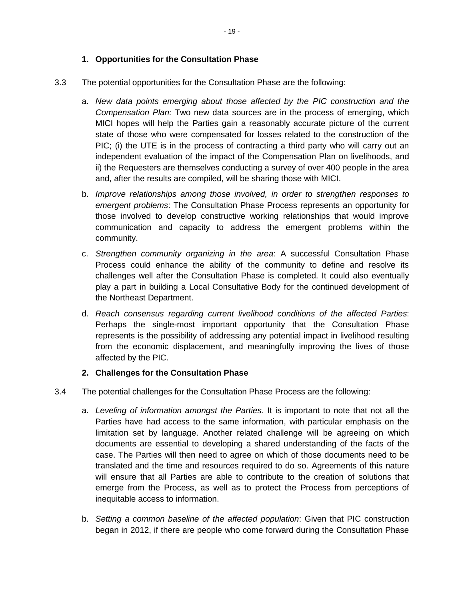#### **1. Opportunities for the Consultation Phase**

- <span id="page-27-0"></span>3.3 The potential opportunities for the Consultation Phase are the following:
	- a. *New data points emerging about those affected by the PIC construction and the Compensation Plan:* Two new data sources are in the process of emerging, which MICI hopes will help the Parties gain a reasonably accurate picture of the current state of those who were compensated for losses related to the construction of the PIC; (i) the UTE is in the process of contracting a third party who will carry out an independent evaluation of the impact of the Compensation Plan on livelihoods, and ii) the Requesters are themselves conducting a survey of over 400 people in the area and, after the results are compiled, will be sharing those with MICI.
	- b. *Improve relationships among those involved, in order to strengthen responses to emergent problems*: The Consultation Phase Process represents an opportunity for those involved to develop constructive working relationships that would improve communication and capacity to address the emergent problems within the community.
	- c. *Strengthen community organizing in the area*: A successful Consultation Phase Process could enhance the ability of the community to define and resolve its challenges well after the Consultation Phase is completed. It could also eventually play a part in building a Local Consultative Body for the continued development of the Northeast Department.
	- d. *Reach consensus regarding current livelihood conditions of the affected Parties*: Perhaps the single-most important opportunity that the Consultation Phase represents is the possibility of addressing any potential impact in livelihood resulting from the economic displacement, and meaningfully improving the lives of those affected by the PIC.

#### **2. Challenges for the Consultation Phase**

- <span id="page-27-1"></span>3.4 The potential challenges for the Consultation Phase Process are the following:
	- a. *Leveling of information amongst the Parties.* It is important to note that not all the Parties have had access to the same information, with particular emphasis on the limitation set by language. Another related challenge will be agreeing on which documents are essential to developing a shared understanding of the facts of the case. The Parties will then need to agree on which of those documents need to be translated and the time and resources required to do so. Agreements of this nature will ensure that all Parties are able to contribute to the creation of solutions that emerge from the Process, as well as to protect the Process from perceptions of inequitable access to information.
	- b. *Setting a common baseline of the affected population*: Given that PIC construction began in 2012, if there are people who come forward during the Consultation Phase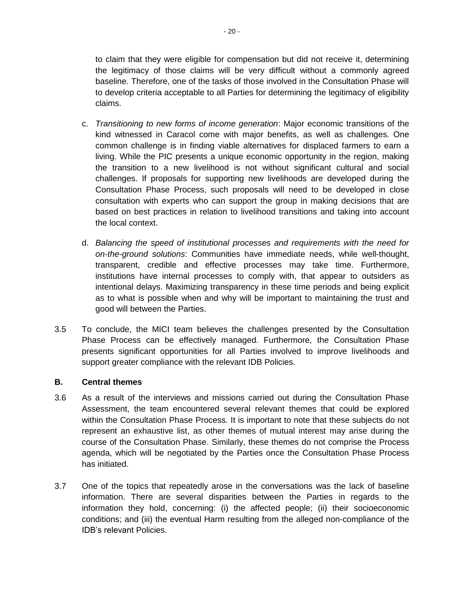to claim that they were eligible for compensation but did not receive it, determining the legitimacy of those claims will be very difficult without a commonly agreed baseline. Therefore, one of the tasks of those involved in the Consultation Phase will to develop criteria acceptable to all Parties for determining the legitimacy of eligibility claims.

- c. *Transitioning to new forms of income generation*: Major economic transitions of the kind witnessed in Caracol come with major benefits, as well as challenges. One common challenge is in finding viable alternatives for displaced farmers to earn a living. While the PIC presents a unique economic opportunity in the region, making the transition to a new livelihood is not without significant cultural and social challenges. If proposals for supporting new livelihoods are developed during the Consultation Phase Process, such proposals will need to be developed in close consultation with experts who can support the group in making decisions that are based on best practices in relation to livelihood transitions and taking into account the local context.
- d. *Balancing the speed of institutional processes and requirements with the need for on-the-ground solutions*: Communities have immediate needs, while well-thought, transparent, credible and effective processes may take time. Furthermore, institutions have internal processes to comply with, that appear to outsiders as intentional delays. Maximizing transparency in these time periods and being explicit as to what is possible when and why will be important to maintaining the trust and good will between the Parties.
- 3.5 To conclude, the MICI team believes the challenges presented by the Consultation Phase Process can be effectively managed. Furthermore, the Consultation Phase presents significant opportunities for all Parties involved to improve livelihoods and support greater compliance with the relevant IDB Policies.

#### <span id="page-28-0"></span>**B. Central themes**

- 3.6 As a result of the interviews and missions carried out during the Consultation Phase Assessment, the team encountered several relevant themes that could be explored within the Consultation Phase Process. It is important to note that these subjects do not represent an exhaustive list, as other themes of mutual interest may arise during the course of the Consultation Phase. Similarly, these themes do not comprise the Process agenda, which will be negotiated by the Parties once the Consultation Phase Process has initiated.
- 3.7 One of the topics that repeatedly arose in the conversations was the lack of baseline information. There are several disparities between the Parties in regards to the information they hold, concerning: (i) the affected people; (ii) their socioeconomic conditions; and (iii) the eventual Harm resulting from the alleged non-compliance of the IDB's relevant Policies.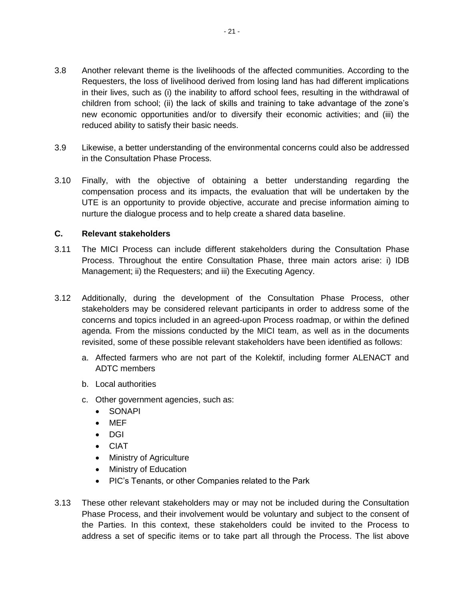- 3.8 Another relevant theme is the livelihoods of the affected communities. According to the Requesters, the loss of livelihood derived from losing land has had different implications in their lives, such as (i) the inability to afford school fees, resulting in the withdrawal of children from school; (ii) the lack of skills and training to take advantage of the zone's new economic opportunities and/or to diversify their economic activities; and (iii) the reduced ability to satisfy their basic needs.
- 3.9 Likewise, a better understanding of the environmental concerns could also be addressed in the Consultation Phase Process.
- 3.10 Finally, with the objective of obtaining a better understanding regarding the compensation process and its impacts, the evaluation that will be undertaken by the UTE is an opportunity to provide objective, accurate and precise information aiming to nurture the dialogue process and to help create a shared data baseline.

#### <span id="page-29-0"></span>**C. Relevant stakeholders**

- 3.11 The MICI Process can include different stakeholders during the Consultation Phase Process. Throughout the entire Consultation Phase, three main actors arise: i) IDB Management; ii) the Requesters; and iii) the Executing Agency.
- 3.12 Additionally, during the development of the Consultation Phase Process, other stakeholders may be considered relevant participants in order to address some of the concerns and topics included in an agreed-upon Process roadmap, or within the defined agenda. From the missions conducted by the MICI team, as well as in the documents revisited, some of these possible relevant stakeholders have been identified as follows:
	- a. Affected farmers who are not part of the Kolektif, including former ALENACT and ADTC members
	- b. Local authorities
	- c. Other government agencies, such as:
		- SONAPI
		- MEF
		- DGI
		- CIAT
		- Ministry of Agriculture
		- Ministry of Education
		- PIC's Tenants, or other Companies related to the Park
- 3.13 These other relevant stakeholders may or may not be included during the Consultation Phase Process, and their involvement would be voluntary and subject to the consent of the Parties. In this context, these stakeholders could be invited to the Process to address a set of specific items or to take part all through the Process. The list above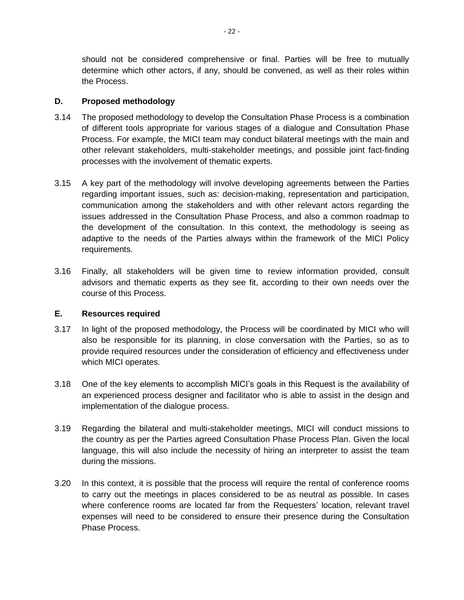should not be considered comprehensive or final. Parties will be free to mutually determine which other actors, if any, should be convened, as well as their roles within the Process.

#### <span id="page-30-0"></span>**D. Proposed methodology**

- 3.14 The proposed methodology to develop the Consultation Phase Process is a combination of different tools appropriate for various stages of a dialogue and Consultation Phase Process. For example, the MICI team may conduct bilateral meetings with the main and other relevant stakeholders, multi-stakeholder meetings, and possible joint fact-finding processes with the involvement of thematic experts.
- 3.15 A key part of the methodology will involve developing agreements between the Parties regarding important issues, such as: decision-making, representation and participation, communication among the stakeholders and with other relevant actors regarding the issues addressed in the Consultation Phase Process, and also a common roadmap to the development of the consultation. In this context, the methodology is seeing as adaptive to the needs of the Parties always within the framework of the MICI Policy requirements.
- 3.16 Finally, all stakeholders will be given time to review information provided, consult advisors and thematic experts as they see fit, according to their own needs over the course of this Process.

#### <span id="page-30-1"></span>**E. Resources required**

- 3.17 In light of the proposed methodology, the Process will be coordinated by MICI who will also be responsible for its planning, in close conversation with the Parties, so as to provide required resources under the consideration of efficiency and effectiveness under which MICI operates.
- 3.18 One of the key elements to accomplish MICI's goals in this Request is the availability of an experienced process designer and facilitator who is able to assist in the design and implementation of the dialogue process.
- 3.19 Regarding the bilateral and multi-stakeholder meetings, MICI will conduct missions to the country as per the Parties agreed Consultation Phase Process Plan. Given the local language, this will also include the necessity of hiring an interpreter to assist the team during the missions.
- 3.20 In this context, it is possible that the process will require the rental of conference rooms to carry out the meetings in places considered to be as neutral as possible. In cases where conference rooms are located far from the Requesters' location, relevant travel expenses will need to be considered to ensure their presence during the Consultation Phase Process.